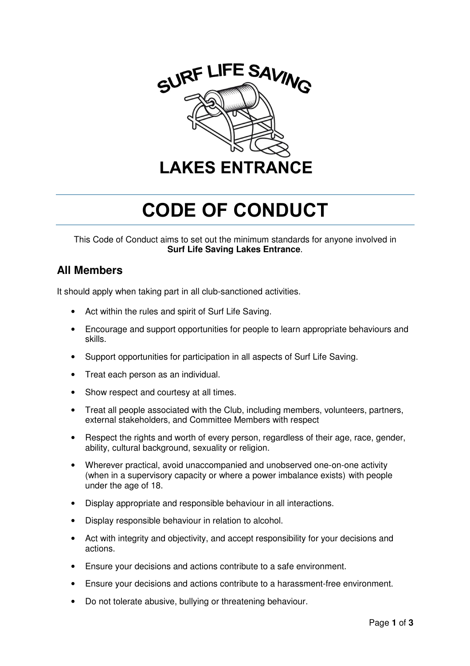

# CODE OF CONDUCT

This Code of Conduct aims to set out the minimum standards for anyone involved in **Surf Life Saving Lakes Entrance**.

# **All Members**

It should apply when taking part in all club-sanctioned activities.

- Act within the rules and spirit of Surf Life Saving.
- Encourage and support opportunities for people to learn appropriate behaviours and skills.
- Support opportunities for participation in all aspects of Surf Life Saving.
- Treat each person as an individual.
- Show respect and courtesy at all times.
- Treat all people associated with the Club, including members, volunteers, partners, external stakeholders, and Committee Members with respect
- Respect the rights and worth of every person, regardless of their age, race, gender, ability, cultural background, sexuality or religion.
- Wherever practical, avoid unaccompanied and unobserved one-on-one activity (when in a supervisory capacity or where a power imbalance exists) with people under the age of 18.
- Display appropriate and responsible behaviour in all interactions.
- Display responsible behaviour in relation to alcohol.
- Act with integrity and objectivity, and accept responsibility for your decisions and actions.
- Ensure your decisions and actions contribute to a safe environment.
- Ensure your decisions and actions contribute to a harassment-free environment.
- Do not tolerate abusive, bullying or threatening behaviour.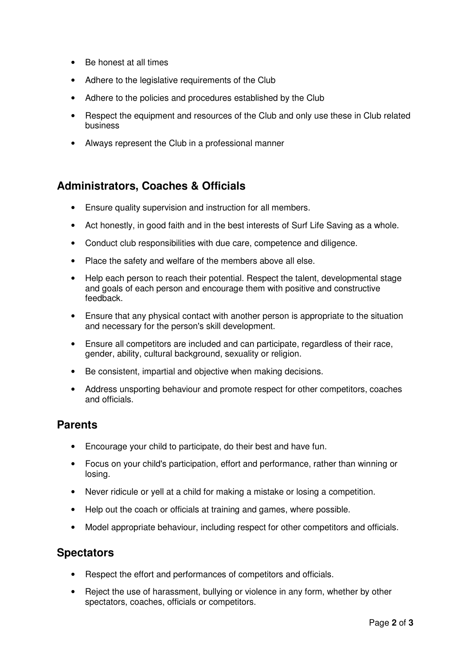- Be honest at all times
- Adhere to the legislative requirements of the Club
- Adhere to the policies and procedures established by the Club
- Respect the equipment and resources of the Club and only use these in Club related business
- Always represent the Club in a professional manner

## **Administrators, Coaches & Officials**

- Ensure quality supervision and instruction for all members.
- Act honestly, in good faith and in the best interests of Surf Life Saving as a whole.
- Conduct club responsibilities with due care, competence and diligence.
- Place the safety and welfare of the members above all else.
- Help each person to reach their potential. Respect the talent, developmental stage and goals of each person and encourage them with positive and constructive feedback.
- Ensure that any physical contact with another person is appropriate to the situation and necessary for the person's skill development.
- Ensure all competitors are included and can participate, regardless of their race, gender, ability, cultural background, sexuality or religion.
- Be consistent, impartial and objective when making decisions.
- Address unsporting behaviour and promote respect for other competitors, coaches and officials.

### **Parents**

- Encourage your child to participate, do their best and have fun.
- Focus on your child's participation, effort and performance, rather than winning or losing.
- Never ridicule or yell at a child for making a mistake or losing a competition.
- Help out the coach or officials at training and games, where possible.
- Model appropriate behaviour, including respect for other competitors and officials.

### **Spectators**

- Respect the effort and performances of competitors and officials.
- Reject the use of harassment, bullying or violence in any form, whether by other spectators, coaches, officials or competitors.